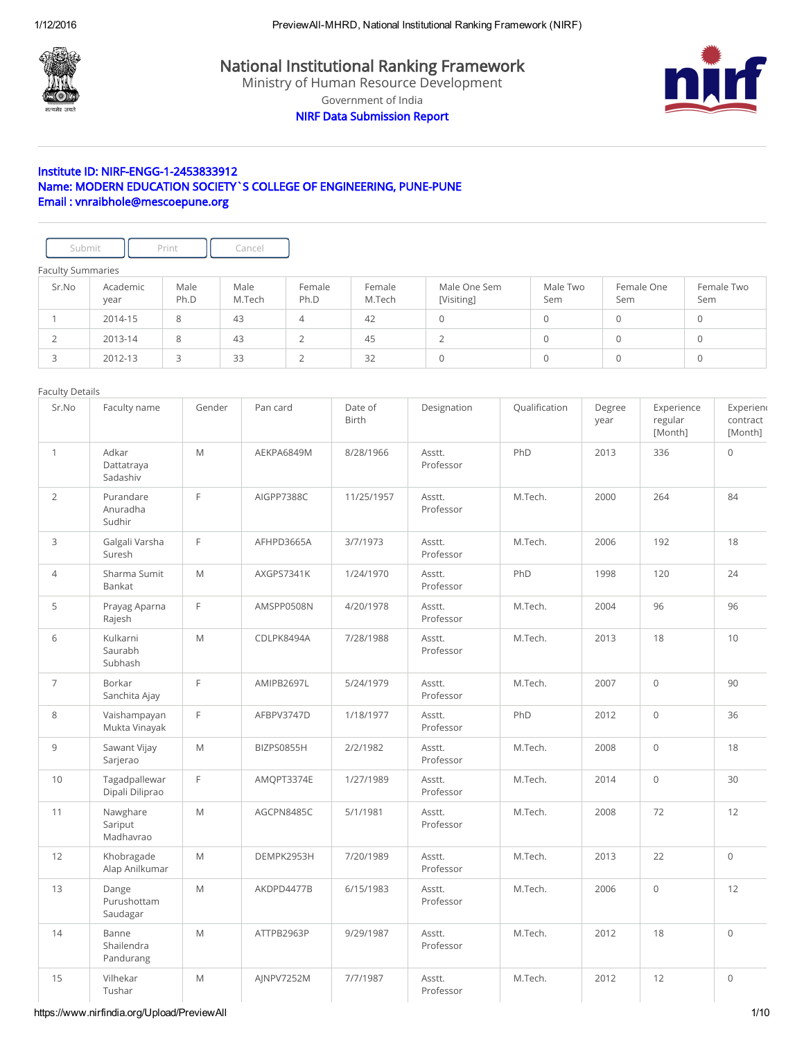

National Institutional Ranking Framework

Ministry of Human Resource Development

Government of India

NIRF Data Submission Report



# Institute ID: NIRF-ENGG-1-2453833912 Name: MODERN EDUCATION SOCIETY`S COLLEGE OF ENGINEERING, PUNE-PUNE Email : vnraibhole@mescoepune.org

| Submit                   |                  | Print        | Cancel         |                |                  |                            |                 |                   |                   |
|--------------------------|------------------|--------------|----------------|----------------|------------------|----------------------------|-----------------|-------------------|-------------------|
| <b>Faculty Summaries</b> |                  |              |                |                |                  |                            |                 |                   |                   |
| Sr.No                    | Academic<br>year | Male<br>Ph.D | Male<br>M.Tech | Female<br>Ph.D | Female<br>M.Tech | Male One Sem<br>[Visiting] | Male Two<br>Sem | Female One<br>Sem | Female Two<br>Sem |
|                          | 2014-15          | 8            | 43             | 4              | 42               | $\Omega$                   | 0               | 0                 | $\mathbf 0$       |
|                          | 2013-14          | 8            | 43             | $\bigcap$      | 45               | 2                          | 0               | 0                 | $\mathbf 0$       |
|                          | 2012-13          | 3            | 33             | $\bigcap$      | 32               | $\Omega$                   | 0               | 0                 | $\Omega$          |

### Faculty Details

| Sr.No          | Faculty name                     | Gender                                                                                                     | Pan card   | Date of<br><b>Birth</b> | Designation         | Qualification | Degree<br>year | Experience<br>regular<br>[Month] | Experien<br>contract<br>[Month] |
|----------------|----------------------------------|------------------------------------------------------------------------------------------------------------|------------|-------------------------|---------------------|---------------|----------------|----------------------------------|---------------------------------|
| $\mathbf{1}$   | Adkar<br>Dattatraya<br>Sadashiv  | M                                                                                                          | AEKPA6849M | 8/28/1966               | Asstt.<br>Professor | PhD           | 2013           | 336                              | $\circ$                         |
| $\overline{2}$ | Purandare<br>Anuradha<br>Sudhir  | $\mathsf F$                                                                                                | AIGPP7388C | 11/25/1957              | Asstt.<br>Professor | M.Tech.       | 2000           | 264                              | 84                              |
| $\mathsf{3}$   | Galgali Varsha<br>Suresh         | F                                                                                                          | AFHPD3665A | 3/7/1973                | Asstt.<br>Professor | M.Tech.       | 2006           | 192                              | 18                              |
| $\overline{4}$ | Sharma Sumit<br>Bankat           | M                                                                                                          | AXGPS7341K | 1/24/1970               | Asstt.<br>Professor | PhD           | 1998           | 120                              | 24                              |
| 5              | Prayag Aparna<br>Rajesh          | F                                                                                                          | AMSPP0508N | 4/20/1978               | Asstt.<br>Professor | M.Tech.       | 2004           | 96                               | 96                              |
| 6              | Kulkarni<br>Saurabh<br>Subhash   | $\mathsf{M}% _{T}=\mathsf{M}_{T}\!\left( a,b\right) ,\ \mathsf{M}_{T}=\mathsf{M}_{T}\!\left( a,b\right) ,$ | CDLPK8494A | 7/28/1988               | Asstt.<br>Professor | M.Tech.       | 2013           | 18                               | 10                              |
| $\overline{7}$ | Borkar<br>Sanchita Ajay          | $\mathsf{F}$                                                                                               | AMIPB2697L | 5/24/1979               | Asstt.<br>Professor | M.Tech.       | 2007           | $\circ$                          | 90                              |
| 8              | Vaishampayan<br>Mukta Vinayak    | E                                                                                                          | AFBPV3747D | 1/18/1977               | Asstt.<br>Professor | PhD           | 2012           | $\mathsf{O}$                     | 36                              |
| $\overline{9}$ | Sawant Vijay<br>Sarjerao         | $\mathsf{M}% _{T}=\mathsf{M}_{T}\!\left( a,b\right) ,\ \mathsf{M}_{T}=\mathsf{M}_{T}\!\left( a,b\right) ,$ | BIZPS0855H | 2/2/1982                | Asstt.<br>Professor | M.Tech.       | 2008           | $\mathsf{O}\xspace$              | 18                              |
| 10             | Tagadpallewar<br>Dipali Diliprao | $\mathsf F$                                                                                                | AMQPT3374E | 1/27/1989               | Asstt.<br>Professor | M.Tech.       | 2014           | $\mathsf{O}\xspace$              | 30                              |
| 11             | Nawghare<br>Sariput<br>Madhavrao | $\mathsf{M}% _{T}=\mathsf{M}_{T}\!\left( a,b\right) ,\ \mathsf{M}_{T}=\mathsf{M}_{T}\!\left( a,b\right) ,$ | AGCPN8485C | 5/1/1981                | Asstt.<br>Professor | M.Tech.       | 2008           | 72                               | 12                              |
| 12             | Khobragade<br>Alap Anilkumar     | $\mathsf{M}% _{T}=\mathsf{M}_{T}\!\left( a,b\right) ,\ \mathsf{M}_{T}=\mathsf{M}_{T}\!\left( a,b\right) ,$ | DEMPK2953H | 7/20/1989               | Asstt.<br>Professor | M.Tech.       | 2013           | 22                               | $\mathbf 0$                     |
| 13             | Dange<br>Purushottam<br>Saudagar | M                                                                                                          | AKDPD4477B | 6/15/1983               | Asstt.<br>Professor | M.Tech.       | 2006           | $\mathbf 0$                      | 12                              |
| 14             | Banne<br>Shailendra<br>Pandurang | M                                                                                                          | ATTPB2963P | 9/29/1987               | Asstt.<br>Professor | M.Tech.       | 2012           | 18                               | $\Omega$                        |
| 15             | Vilhekar<br>Tushar               | M                                                                                                          | AJNPV7252M | 7/7/1987                | Asstt.<br>Professor | M.Tech.       | 2012           | 12                               | $\mathbf 0$                     |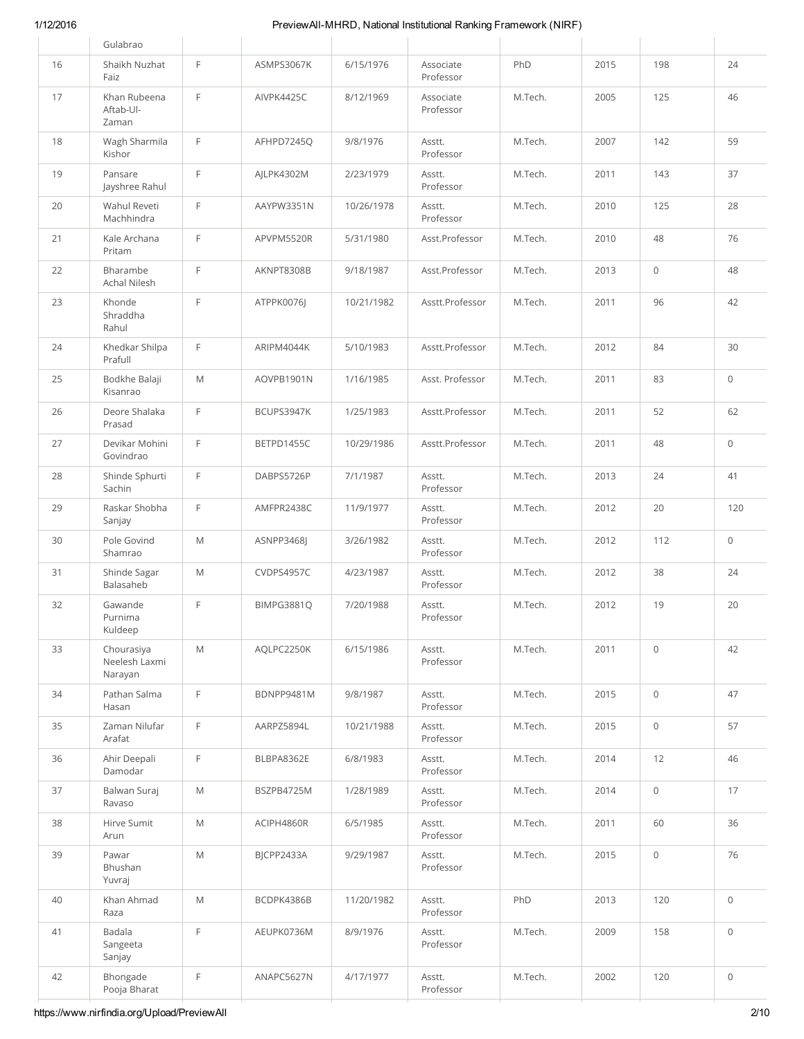| 42 | Bhongade<br>Pooja Bharat               | F            | ANAPC5627N | 4/17/1977  | Asstt.<br>Professor    | M.Tech. | 2002 | 120                 | $\mathsf{O}\xspace$ |
|----|----------------------------------------|--------------|------------|------------|------------------------|---------|------|---------------------|---------------------|
| 41 | Badala<br>Sangeeta<br>Sanjay           | E            | AEUPK0736M | 8/9/1976   | Asstt.<br>Professor    | M.Tech. | 2009 | 158                 | $\mathbf 0$         |
| 40 | Khan Ahmad<br>Raza                     | M            | BCDPK4386B | 11/20/1982 | Asstt.<br>Professor    | PhD     | 2013 | 120                 | $\circ$             |
| 39 | Pawar<br>Bhushan<br>Yuvraj             | M            | BJCPP2433A | 9/29/1987  | Asstt.<br>Professor    | M.Tech. | 2015 | $\circ$             | 76                  |
| 38 | Hirve Sumit<br>Arun                    | M            | ACIPH4860R | 6/5/1985   | Asstt.<br>Professor    | M.Tech. | 2011 | 60                  | 36                  |
| 37 | Balwan Suraj<br>Ravaso                 | M            | BSZPB4725M | 1/28/1989  | Asstt.<br>Professor    | M.Tech. | 2014 | 0                   | 17                  |
| 36 | Ahir Deepali<br>Damodar                | $\mathsf F$  | BLBPA8362E | 6/8/1983   | Asstt.<br>Professor    | M.Tech. | 2014 | 12                  | 46                  |
| 35 | Zaman Nilufar<br>Arafat                | E            | AARPZ5894L | 10/21/1988 | Asstt.<br>Professor    | M.Tech. | 2015 | $\mathsf{O}\xspace$ | 57                  |
| 34 | Pathan Salma<br>Hasan                  | F            | BDNPP9481M | 9/8/1987   | Asstt.<br>Professor    | M.Tech. | 2015 | 0                   | 47                  |
| 33 | Chourasiya<br>Neelesh Laxmi<br>Narayan | M            | AQLPC2250K | 6/15/1986  | Asstt.<br>Professor    | M.Tech. | 2011 | $\mathsf{O}\xspace$ | 42                  |
| 32 | Gawande<br>Purnima<br>Kuldeep          | F            | BIMPG3881Q | 7/20/1988  | Asstt.<br>Professor    | M.Tech. | 2012 | 19                  | 20                  |
| 31 | Shinde Sagar<br>Balasaheb              | M            | CVDPS4957C | 4/23/1987  | Asstt.<br>Professor    | M.Tech. | 2012 | 38                  | 24                  |
| 30 | Pole Govind<br>Shamrao                 | M            | ASNPP3468J | 3/26/1982  | Asstt.<br>Professor    | M.Tech. | 2012 | 112                 | $\mathsf{O}\xspace$ |
| 29 | Raskar Shobha<br>Sanjay                | E            | AMFPR2438C | 11/9/1977  | Asstt.<br>Professor    | M.Tech. | 2012 | 20                  | 120                 |
| 28 | Shinde Sphurti<br>Sachin               | E            | DABPS5726P | 7/1/1987   | Asstt.<br>Professor    | M.Tech. | 2013 | 24                  | 41                  |
| 27 | Devikar Mohini<br>Govindrao            | F            | BETPD1455C | 10/29/1986 | Asstt.Professor        | M.Tech. | 2011 | 48                  | $\mathsf{O}\xspace$ |
| 26 | Deore Shalaka<br>Prasad                | F            | BCUPS3947K | 1/25/1983  | Asstt.Professor        | M.Tech. | 2011 | 52                  | 62                  |
| 25 | Bodkhe Balaji<br>Kisanrao              | M            | AOVPB1901N | 1/16/1985  | Asst. Professor        | M.Tech. | 2011 | 83                  | $\mathsf{O}\xspace$ |
| 24 | Rahul<br>Khedkar Shilpa<br>Prafull     | E            | ARIPM4044K | 5/10/1983  | Asstt.Professor        | M.Tech. | 2012 | 84                  | 30                  |
| 23 | Khonde<br>Shraddha                     | E            | ATPPK0076J | 10/21/1982 | Asstt.Professor        | M.Tech. | 2011 | 96                  | 42                  |
| 22 | Bharambe<br>Achal Nilesh               | $\mathsf F$  | AKNPT8308B | 9/18/1987  | Asst.Professor         | M.Tech. | 2013 | 0                   | 48                  |
| 21 | Kale Archana<br>Pritam                 | E            | APVPM5520R | 5/31/1980  | Asst.Professor         | M.Tech. | 2010 | 48                  | 76                  |
| 20 | Wahul Reveti<br>Machhindra             | F            | AAYPW3351N | 10/26/1978 | Asstt.<br>Professor    | M.Tech. | 2010 | 125                 | 28                  |
| 19 | Pansare<br>Jayshree Rahul              | F            | AILPK4302M | 2/23/1979  | Asstt.<br>Professor    | M.Tech. | 2011 | 143                 | 37                  |
| 18 | Wagh Sharmila<br>Kishor                | E            | AFHPD7245Q | 9/8/1976   | Asstt.<br>Professor    | M.Tech. | 2007 | 142                 | 59                  |
| 17 | Khan Rubeena<br>Aftab-Ul-<br>Zaman     | E            | AIVPK4425C | 8/12/1969  | Associate<br>Professor | M.Tech. | 2005 | 125                 | 46                  |
| 16 | Shaikh Nuzhat<br>Faiz                  | $\mathsf{F}$ | ASMPS3067K | 6/15/1976  | Associate<br>Professor | PhD     | 2015 | 198                 | 24                  |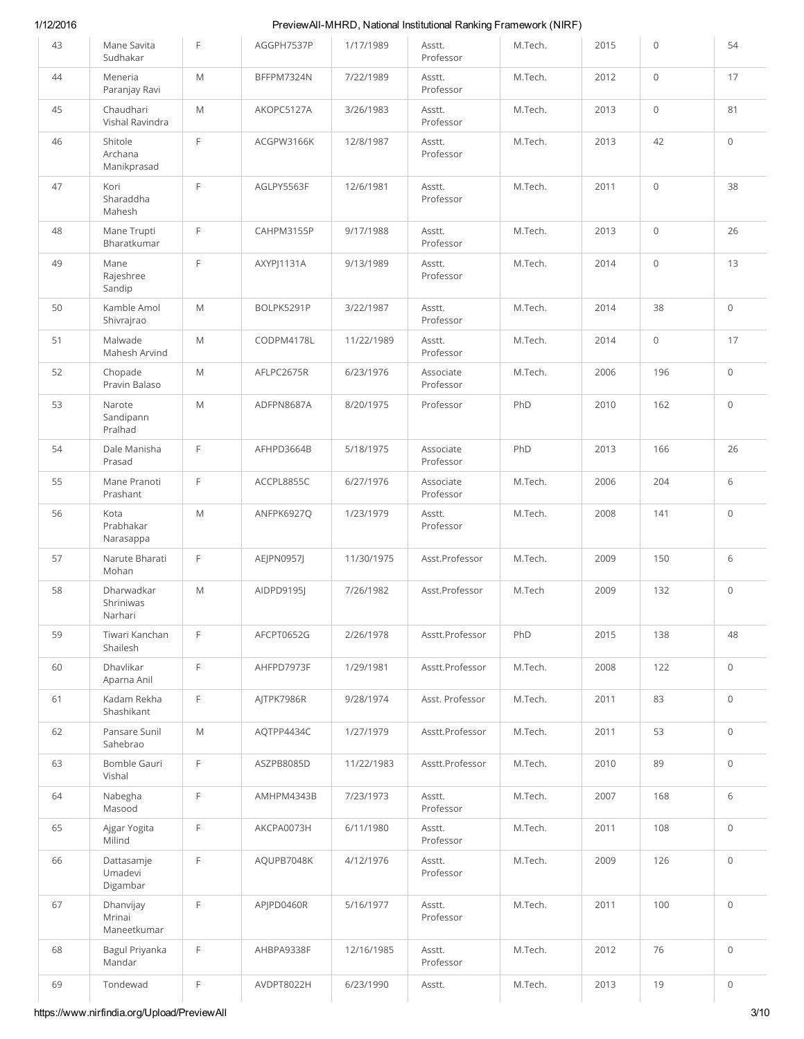| 43 | Mane Savita<br>Sudhakar            | E                                                                                                          | AGGPH7537P | 1/17/1989  | Asstt.<br>Professor    | M.Tech. | 2015 | 0                   | 54                  |
|----|------------------------------------|------------------------------------------------------------------------------------------------------------|------------|------------|------------------------|---------|------|---------------------|---------------------|
| 44 | Meneria<br>Paranjay Ravi           | M                                                                                                          | BFFPM7324N | 7/22/1989  | Asstt.<br>Professor    | M.Tech. | 2012 | $\mathsf{O}\xspace$ | 17                  |
| 45 | Chaudhari<br>Vishal Ravindra       | M                                                                                                          | AKOPC5127A | 3/26/1983  | Asstt.<br>Professor    | M.Tech. | 2013 | $\circ$             | 81                  |
| 46 | Shitole<br>Archana<br>Manikprasad  | E                                                                                                          | ACGPW3166K | 12/8/1987  | Asstt.<br>Professor    | M.Tech. | 2013 | 42                  | $\mathbf 0$         |
| 47 | Kori<br>Sharaddha<br>Mahesh        | E                                                                                                          | AGLPY5563F | 12/6/1981  | Asstt.<br>Professor    | M.Tech. | 2011 | $\mathsf{O}\xspace$ | 38                  |
| 48 | Mane Trupti<br>Bharatkumar         | $\mathsf F$                                                                                                | CAHPM3155P | 9/17/1988  | Asstt.<br>Professor    | M.Tech. | 2013 | $\mathsf{O}\xspace$ | 26                  |
| 49 | Mane<br>Rajeshree<br>Sandip        | E                                                                                                          | AXYPJ1131A | 9/13/1989  | Asstt.<br>Professor    | M.Tech. | 2014 | $\circ$             | 13                  |
| 50 | Kamble Amol<br>Shivrajrao          | M                                                                                                          | BOLPK5291P | 3/22/1987  | Asstt.<br>Professor    | M.Tech. | 2014 | 38                  | $\mathbf 0$         |
| 51 | Malwade<br>Mahesh Arvind           | M                                                                                                          | CODPM4178L | 11/22/1989 | Asstt.<br>Professor    | M.Tech. | 2014 | $\circ$             | 17                  |
| 52 | Chopade<br>Pravin Balaso           | M                                                                                                          | AFLPC2675R | 6/23/1976  | Associate<br>Professor | M.Tech. | 2006 | 196                 | $\circ$             |
| 53 | Narote<br>Sandipann<br>Pralhad     | M                                                                                                          | ADFPN8687A | 8/20/1975  | Professor              | PhD     | 2010 | 162                 | $\mathbf 0$         |
| 54 | Dale Manisha<br>Prasad             | E                                                                                                          | AFHPD3664B | 5/18/1975  | Associate<br>Professor | PhD     | 2013 | 166                 | 26                  |
| 55 | Mane Pranoti<br>Prashant           | E                                                                                                          | ACCPL8855C | 6/27/1976  | Associate<br>Professor | M.Tech. | 2006 | 204                 | 6                   |
| 56 | Kota<br>Prabhakar<br>Narasappa     | M                                                                                                          | ANFPK6927Q | 1/23/1979  | Asstt.<br>Professor    | M.Tech. | 2008 | 141                 | $\circ$             |
| 57 | Narute Bharati<br>Mohan            | E                                                                                                          | AEJPN0957J | 11/30/1975 | Asst.Professor         | M.Tech. | 2009 | 150                 | 6                   |
| 58 | Dharwadkar<br>Shriniwas<br>Narhari | M                                                                                                          | AIDPD9195I | 7/26/1982  | Asst.Professor         | M.Tech  | 2009 | 132                 | $\mathsf{O}\xspace$ |
| 59 | Tiwari Kanchan<br>Shailesh         | F                                                                                                          | AFCPT0652G | 2/26/1978  | Asstt.Professor        | PhD     | 2015 | 138                 | 48                  |
| 60 | Dhavlikar<br>Aparna Anil           | $\mathsf F$                                                                                                | AHFPD7973F | 1/29/1981  | Asstt.Professor        | M.Tech. | 2008 | 122                 | $\mathsf{O}\xspace$ |
| 61 | Kadam Rekha<br>Shashikant          | $\mathsf F$                                                                                                | AJTPK7986R | 9/28/1974  | Asst. Professor        | M.Tech. | 2011 | 83                  | $\mathsf{O}\xspace$ |
| 62 | Pansare Sunil<br>Sahebrao          | $\mathsf{M}% _{T}=\mathsf{M}_{T}\!\left( a,b\right) ,\ \mathsf{M}_{T}=\mathsf{M}_{T}\!\left( a,b\right) ,$ | AQTPP4434C | 1/27/1979  | Asstt.Professor        | M.Tech. | 2011 | 53                  | $\mathsf{O}\xspace$ |
| 63 | Bomble Gauri<br>Vishal             | F                                                                                                          | ASZPB8085D | 11/22/1983 | Asstt.Professor        | M.Tech. | 2010 | 89                  | $\mathsf{O}\xspace$ |
| 64 | Nabegha<br>Masood                  | F                                                                                                          | AMHPM4343B | 7/23/1973  | Asstt.<br>Professor    | M.Tech. | 2007 | 168                 | 6                   |
| 65 | Ajgar Yogita<br>Milind             | F                                                                                                          | AKCPA0073H | 6/11/1980  | Asstt.<br>Professor    | M.Tech. | 2011 | 108                 | $\mathsf{O}\xspace$ |
| 66 | Dattasamje<br>Umadevi<br>Digambar  | F                                                                                                          | AQUPB7048K | 4/12/1976  | Asstt.<br>Professor    | M.Tech. | 2009 | 126                 | $\mathsf{O}\xspace$ |
| 67 | Dhanvijay<br>Mrinai<br>Maneetkumar | F                                                                                                          | APJPD0460R | 5/16/1977  | Asstt.<br>Professor    | M.Tech. | 2011 | 100                 | $\mathsf{O}\xspace$ |
| 68 | Bagul Priyanka<br>Mandar           | F                                                                                                          | AHBPA9338F | 12/16/1985 | Asstt.<br>Professor    | M.Tech. | 2012 | 76                  | $\mathsf{O}\xspace$ |
| 69 | Tondewad                           | F                                                                                                          | AVDPT8022H | 6/23/1990  | Asstt.                 | M.Tech. | 2013 | 19                  | $\mathsf{O}\xspace$ |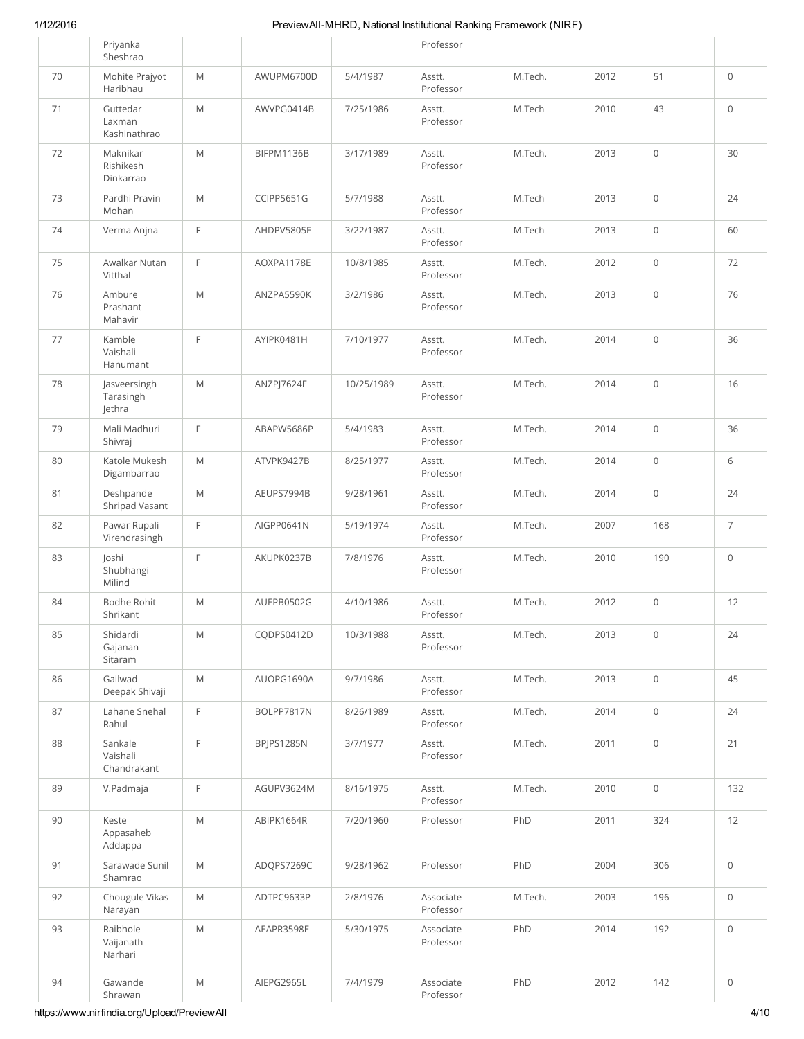|    | Priyanka<br>Sheshrao                |                                                                                                            |                   |            | Professor              |         |      |                     |                     |
|----|-------------------------------------|------------------------------------------------------------------------------------------------------------|-------------------|------------|------------------------|---------|------|---------------------|---------------------|
| 70 | Mohite Prajyot<br>Haribhau          | M                                                                                                          | AWUPM6700D        | 5/4/1987   | Asstt.<br>Professor    | M.Tech. | 2012 | 51                  | $\mathsf{O}\xspace$ |
| 71 | Guttedar<br>Laxman<br>Kashinathrao  | M                                                                                                          | AWVPG0414B        | 7/25/1986  | Asstt.<br>Professor    | M.Tech  | 2010 | 43                  | $\mathbf 0$         |
| 72 | Maknikar<br>Rishikesh<br>Dinkarrao  | $\mathsf{M}% _{T}=\mathsf{M}_{T}\!\left( a,b\right) ,\ \mathsf{M}_{T}=\mathsf{M}_{T}\!\left( a,b\right) ,$ | BIFPM1136B        | 3/17/1989  | Asstt.<br>Professor    | M.Tech. | 2013 | $\mathsf{O}\xspace$ | 30                  |
| 73 | Pardhi Pravin<br>Mohan              | M                                                                                                          | <b>CCIPP5651G</b> | 5/7/1988   | Asstt.<br>Professor    | M.Tech  | 2013 | $\mathsf{O}\xspace$ | 24                  |
| 74 | Verma Anjna                         | $\mathsf F$                                                                                                | AHDPV5805E        | 3/22/1987  | Asstt.<br>Professor    | M.Tech  | 2013 | $\mathsf{O}\xspace$ | 60                  |
| 75 | Awalkar Nutan<br>Vitthal            | E                                                                                                          | AOXPA1178E        | 10/8/1985  | Asstt.<br>Professor    | M.Tech. | 2012 | $\mathbf 0$         | 72                  |
| 76 | Ambure<br>Prashant<br>Mahavir       | M                                                                                                          | ANZPA5590K        | 3/2/1986   | Asstt.<br>Professor    | M.Tech. | 2013 | $\mathsf{O}\xspace$ | 76                  |
| 77 | Kamble<br>Vaishali<br>Hanumant      | E                                                                                                          | AYIPK0481H        | 7/10/1977  | Asstt.<br>Professor    | M.Tech. | 2014 | $\mathsf{O}\xspace$ | 36                  |
| 78 | Jasveersingh<br>Tarasingh<br>Jethra | $\mathsf{M}% _{T}=\mathsf{M}_{T}\!\left( a,b\right) ,\ \mathsf{M}_{T}=\mathsf{M}_{T}\!\left( a,b\right) ,$ | ANZPJ7624F        | 10/25/1989 | Asstt.<br>Professor    | M.Tech. | 2014 | $\mathsf{O}\xspace$ | 16                  |
| 79 | Mali Madhuri<br>Shivraj             | F                                                                                                          | ABAPW5686P        | 5/4/1983   | Asstt.<br>Professor    | M.Tech. | 2014 | $\mathsf{O}\xspace$ | 36                  |
| 80 | Katole Mukesh<br>Digambarrao        | $\mathsf{M}% _{T}=\mathsf{M}_{T}\!\left( a,b\right) ,\ \mathsf{M}_{T}=\mathsf{M}_{T}\!\left( a,b\right) ,$ | ATVPK9427B        | 8/25/1977  | Asstt.<br>Professor    | M.Tech. | 2014 | $\mathsf{O}\xspace$ | 6                   |
| 81 | Deshpande<br>Shripad Vasant         | M                                                                                                          | AEUPS7994B        | 9/28/1961  | Asstt.<br>Professor    | M.Tech. | 2014 | $\mathsf{O}\xspace$ | 24                  |
| 82 | Pawar Rupali<br>Virendrasingh       | F                                                                                                          | AIGPP0641N        | 5/19/1974  | Asstt.<br>Professor    | M.Tech. | 2007 | 168                 | $\overline{7}$      |
| 83 | Joshi<br>Shubhangi<br>Milind        | E                                                                                                          | AKUPK0237B        | 7/8/1976   | Asstt.<br>Professor    | M.Tech. | 2010 | 190                 | $\mathbf 0$         |
| 84 | Bodhe Rohit<br>Shrikant             | $\mathsf{M}% _{T}=\mathsf{M}_{T}\!\left( a,b\right) ,\ \mathsf{M}_{T}=\mathsf{M}_{T}\!\left( a,b\right) ,$ | AUEPB0502G        | 4/10/1986  | Asstt.<br>Professor    | M.Tech. | 2012 | $\mathsf{O}\xspace$ | $12$                |
| 85 | Shidardi<br>Gajanan<br>Sitaram      | $\mathsf{M}% _{T}=\mathsf{M}_{T}\!\left( a,b\right) ,\ \mathsf{M}_{T}=\mathsf{M}_{T}\!\left( a,b\right) ,$ | CQDPS0412D        | 10/3/1988  | Asstt.<br>Professor    | M.Tech. | 2013 | $\mathbf 0$         | 24                  |
| 86 | Gailwad<br>Deepak Shivaji           | $\mathsf{M}% _{T}=\mathsf{M}_{T}\!\left( a,b\right) ,\ \mathsf{M}_{T}=\mathsf{M}_{T}\!\left( a,b\right) ,$ | AUOPG1690A        | 9/7/1986   | Asstt.<br>Professor    | M.Tech. | 2013 | $\mathsf{O}\xspace$ | 45                  |
| 87 | Lahane Snehal<br>Rahul              | F                                                                                                          | BOLPP7817N        | 8/26/1989  | Asstt.<br>Professor    | M.Tech. | 2014 | $\mathsf{O}\xspace$ | 24                  |
| 88 | Sankale<br>Vaishali<br>Chandrakant  | F                                                                                                          | BPJPS1285N        | 3/7/1977   | Asstt.<br>Professor    | M.Tech. | 2011 | $\mathsf{O}\xspace$ | 21                  |
| 89 | V.Padmaja                           | F                                                                                                          | AGUPV3624M        | 8/16/1975  | Asstt.<br>Professor    | M.Tech. | 2010 | $\mathsf{O}\xspace$ | 132                 |
| 90 | Keste<br>Appasaheb<br>Addappa       | $\mathsf{M}% _{T}=\mathsf{M}_{T}\!\left( a,b\right) ,\ \mathsf{M}_{T}=\mathsf{M}_{T}\!\left( a,b\right) ,$ | ABIPK1664R        | 7/20/1960  | Professor              | PhD     | 2011 | 324                 | 12                  |
| 91 | Sarawade Sunil<br>Shamrao           | $\mathsf{M}% _{T}=\mathsf{M}_{T}\!\left( a,b\right) ,\ \mathsf{M}_{T}=\mathsf{M}_{T}\!\left( a,b\right) ,$ | ADQPS7269C        | 9/28/1962  | Professor              | PhD     | 2004 | 306                 | $\mathbf 0$         |
| 92 | Chougule Vikas<br>Narayan           | $\mathsf{M}% _{T}=\mathsf{M}_{T}\!\left( a,b\right) ,\ \mathsf{M}_{T}=\mathsf{M}_{T}\!\left( a,b\right) ,$ | ADTPC9633P        | 2/8/1976   | Associate<br>Professor | M.Tech. | 2003 | 196                 | $\mathsf{O}\xspace$ |
| 93 | Raibhole<br>Vaijanath<br>Narhari    | $\mathsf{M}% _{T}=\mathsf{M}_{T}\!\left( a,b\right) ,\ \mathsf{M}_{T}=\mathsf{M}_{T}\!\left( a,b\right) ,$ | AEAPR3598E        | 5/30/1975  | Associate<br>Professor | PhD     | 2014 | 192                 | $\circ$             |
| 94 | Gawande<br>Shrawan                  | M                                                                                                          | AIEPG2965L        | 7/4/1979   | Associate<br>Professor | PhD     | 2012 | 142                 | $\mathsf{O}\xspace$ |

https://www.nirfindia.org/Upload/PreviewAll 4/10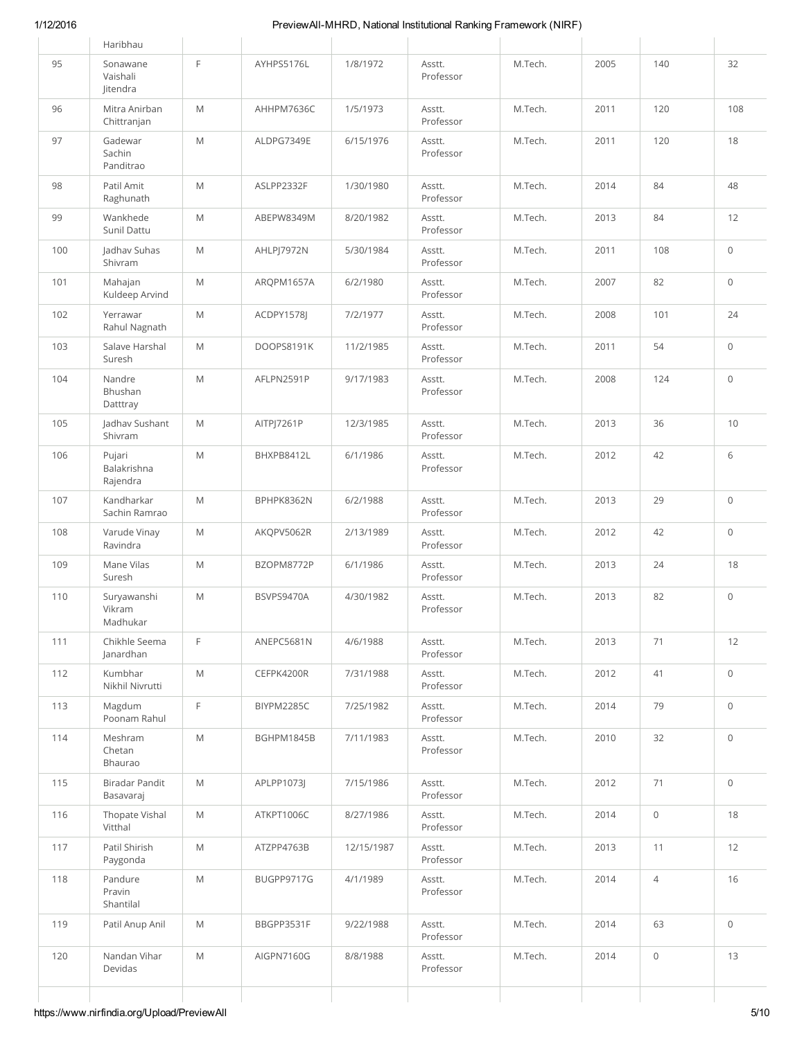|     | Pravin<br>Shantilal               |                                                                                                            |            |            | Professor           |         |      |                     |                     |
|-----|-----------------------------------|------------------------------------------------------------------------------------------------------------|------------|------------|---------------------|---------|------|---------------------|---------------------|
| 118 | Paygonda<br>Pandure               | $\mathsf{M}% _{T}=\mathsf{M}_{T}\!\left( a,b\right) ,\ \mathsf{M}_{T}=\mathsf{M}_{T}\!\left( a,b\right) ,$ | BUGPP9717G | 4/1/1989   | Professor<br>Asstt. | M.Tech. | 2014 | $\overline{4}$      | 16                  |
| 117 | Vitthal<br>Patil Shirish          | $\mathsf{M}% _{T}=\mathsf{M}_{T}\!\left( a,b\right) ,\ \mathsf{M}_{T}=\mathsf{M}_{T}\!\left( a,b\right) ,$ | ATZPP4763B | 12/15/1987 | Professor<br>Asstt. | M.Tech. | 2013 | 11                  | 12                  |
| 116 | Basavaraj<br>Thopate Vishal       | $\mathsf{M}% _{T}=\mathsf{M}_{T}\!\left( a,b\right) ,\ \mathsf{M}_{T}=\mathsf{M}_{T}\!\left( a,b\right) ,$ | ATKPT1006C | 8/27/1986  | Professor<br>Asstt. | M.Tech. | 2014 | $\mathsf{O}\xspace$ | 18                  |
| 115 | Bhaurao<br>Biradar Pandit         | $\mathsf{M}% _{T}=\mathsf{M}_{T}\!\left( a,b\right) ,\ \mathsf{M}_{T}=\mathsf{M}_{T}\!\left( a,b\right) ,$ | APLPP1073J | 7/15/1986  | Asstt.              | M.Tech. | 2012 | 71                  | $\mathsf{O}\xspace$ |
| 114 | Meshram<br>Chetan                 | $\mathsf{M}% _{T}=\mathsf{M}_{T}\!\left( a,b\right) ,\ \mathsf{M}_{T}=\mathsf{M}_{T}\!\left( a,b\right) ,$ | BGHPM1845B | 7/11/1983  | Asstt.<br>Professor | M.Tech. | 2010 | 32                  | $\mathsf{O}\xspace$ |
| 113 | Magdum<br>Poonam Rahul            | F                                                                                                          | BIYPM2285C | 7/25/1982  | Asstt.<br>Professor | M.Tech. | 2014 | 79                  | $\mathsf{O}\xspace$ |
| 112 | Kumbhar<br>Nikhil Nivrutti        | $\mathsf{M}% _{T}=\mathsf{M}_{T}\!\left( a,b\right) ,\ \mathsf{M}_{T}=\mathsf{M}_{T}\!\left( a,b\right) ,$ | CEFPK4200R | 7/31/1988  | Asstt.<br>Professor | M.Tech. | 2012 | 41                  | $\mathsf{O}\xspace$ |
| 111 | Chikhle Seema<br>Janardhan        | F                                                                                                          | ANEPC5681N | 4/6/1988   | Asstt.<br>Professor | M.Tech. | 2013 | 71                  | 12                  |
| 110 | Suryawanshi<br>Vikram<br>Madhukar | M                                                                                                          | BSVPS9470A | 4/30/1982  | Asstt.<br>Professor | M.Tech. | 2013 | 82                  | $\circ$             |
| 109 | Mane Vilas<br>Suresh              | M                                                                                                          | BZOPM8772P | 6/1/1986   | Asstt.<br>Professor | M.Tech. | 2013 | 24                  | 18                  |
| 108 | Varude Vinay<br>Ravindra          | M                                                                                                          | AKQPV5062R | 2/13/1989  | Asstt.<br>Professor | M.Tech. | 2012 | 42                  | $\mathbf 0$         |
| 107 | Kandharkar<br>Sachin Ramrao       | M                                                                                                          | BPHPK8362N | 6/2/1988   | Asstt.<br>Professor | M.Tech. | 2013 | 29                  | $\mathbf 0$         |
| 106 | Pujari<br>Balakrishna<br>Rajendra | M                                                                                                          | BHXPB8412L | 6/1/1986   | Asstt.<br>Professor | M.Tech. | 2012 | 42                  | 6                   |
| 105 | Jadhav Sushant<br>Shivram         | M                                                                                                          | AITPJ7261P | 12/3/1985  | Asstt.<br>Professor | M.Tech. | 2013 | 36                  | 10                  |
| 104 | Nandre<br>Bhushan<br>Datttray     | M                                                                                                          | AFLPN2591P | 9/17/1983  | Asstt.<br>Professor | M.Tech. | 2008 | 124                 | $\mathbf 0$         |
| 103 | Salave Harshal<br>Suresh          | M                                                                                                          | DOOPS8191K | 11/2/1985  | Asstt.<br>Professor | M.Tech. | 2011 | 54                  | $\mathbf 0$         |
| 102 | Yerrawar<br>Rahul Nagnath         | M                                                                                                          | ACDPY1578J | 7/2/1977   | Asstt.<br>Professor | M.Tech. | 2008 | 101                 | 24                  |
| 101 | Mahajan<br>Kuldeep Arvind         | M                                                                                                          | ARQPM1657A | 6/2/1980   | Asstt.<br>Professor | M.Tech. | 2007 | 82                  | $\circ$             |
| 100 | Jadhav Suhas<br>Shivram           | M                                                                                                          | AHLPJ7972N | 5/30/1984  | Asstt.<br>Professor | M.Tech. | 2011 | 108                 | $\mathsf{O}\xspace$ |
| 99  | Wankhede<br>Sunil Dattu           | M                                                                                                          | ABEPW8349M | 8/20/1982  | Asstt.<br>Professor | M.Tech. | 2013 | 84                  | 12                  |
| 98  | Patil Amit<br>Raghunath           | M                                                                                                          | ASLPP2332F | 1/30/1980  | Asstt.<br>Professor | M.Tech. | 2014 | 84                  | 48                  |
| 97  | Gadewar<br>Sachin<br>Panditrao    | M                                                                                                          | ALDPG7349E | 6/15/1976  | Asstt.<br>Professor | M.Tech. | 2011 | 120                 | 18                  |
| 96  | Mitra Anirban<br>Chittranjan      | M                                                                                                          | AHHPM7636C | 1/5/1973   | Asstt.<br>Professor | M.Tech. | 2011 | 120                 | 108                 |
| 95  | Sonawane<br>Vaishali<br>Jitendra  | F                                                                                                          | AYHPS5176L | 1/8/1972   | Asstt.<br>Professor | M.Tech. | 2005 | 140                 | 32                  |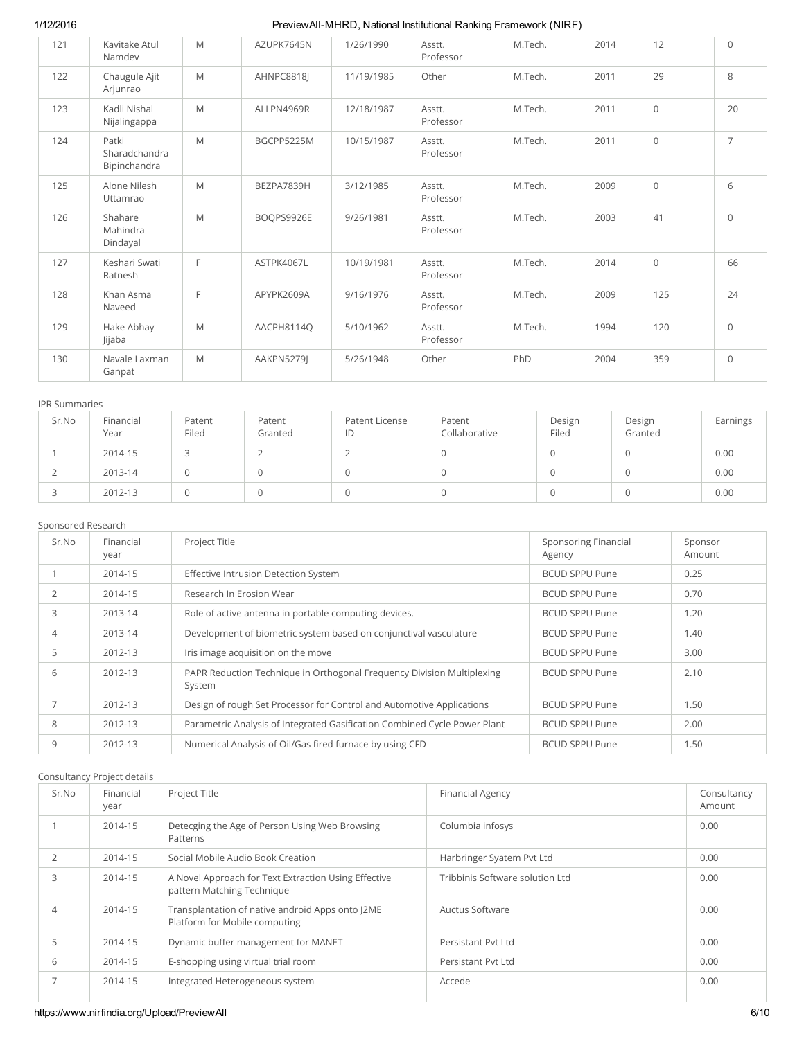| 121 | Kavitake Atul<br>Namdev                | M | AZUPK7645N | 1/26/1990  | Asstt.<br>Professor | M.Tech. | 2014 | 12          | $\Omega$       |
|-----|----------------------------------------|---|------------|------------|---------------------|---------|------|-------------|----------------|
| 122 | Chaugule Ajit<br>Arjunrao              | M | AHNPC8818I | 11/19/1985 | Other               | M.Tech. | 2011 | 29          | 8              |
| 123 | Kadli Nishal<br>Nijalingappa           | M | ALLPN4969R | 12/18/1987 | Asstt.<br>Professor | M.Tech. | 2011 | $\circ$     | 20             |
| 124 | Patki<br>Sharadchandra<br>Bipinchandra | M | BGCPP5225M | 10/15/1987 | Asstt.<br>Professor | M.Tech. | 2011 | $\circ$     | $\overline{7}$ |
| 125 | Alone Nilesh<br>Uttamrao               | M | BEZPA7839H | 3/12/1985  | Asstt.<br>Professor | M.Tech. | 2009 | $\mathbf 0$ | 6              |
| 126 | Shahare<br>Mahindra<br>Dindayal        | M | BOOPS9926E | 9/26/1981  | Asstt.<br>Professor | M.Tech. | 2003 | 41          | $\Omega$       |
| 127 | Keshari Swati<br>Ratnesh               | F | ASTPK4067L | 10/19/1981 | Asstt.<br>Professor | M.Tech. | 2014 | $\mathbf 0$ | 66             |
| 128 | Khan Asma<br>Naveed                    | F | APYPK2609A | 9/16/1976  | Asstt.<br>Professor | M.Tech. | 2009 | 125         | 24             |
| 129 | Hake Abhay<br>Jijaba                   | M | AACPH8114O | 5/10/1962  | Asstt.<br>Professor | M.Tech. | 1994 | 120         | $\Omega$       |
| 130 | Navale Laxman<br>Ganpat                | M | AAKPN5279J | 5/26/1948  | Other               | PhD     | 2004 | 359         | $\mathbf 0$    |

### IPR Summaries

| Sr.No | Financial<br>Year | Patent<br>Filed | Patent<br>Granted | Patent License<br>ID | Patent<br>Collaborative | Design<br>Filed | Design<br>Granted | Earnings |
|-------|-------------------|-----------------|-------------------|----------------------|-------------------------|-----------------|-------------------|----------|
|       | 2014-15           |                 |                   |                      |                         |                 |                   | 0.00     |
|       | 2013-14           | U               |                   |                      |                         |                 |                   | 0.00     |
|       | 2012-13           |                 |                   |                      |                         |                 |                   | 0.00     |

### Sponsored Research

| Sr.No          | Financial<br>year | Project Title                                                                    | <b>Sponsoring Financial</b><br>Agency | Sponsor<br>Amount |
|----------------|-------------------|----------------------------------------------------------------------------------|---------------------------------------|-------------------|
|                | 2014-15           | Effective Intrusion Detection System                                             | <b>BCUD SPPU Pune</b>                 | 0.25              |
| $\overline{2}$ | 2014-15           | Research In Erosion Wear                                                         | <b>BCUD SPPU Pune</b>                 | 0.70              |
| 3              | 2013-14           | Role of active antenna in portable computing devices.                            | <b>BCUD SPPU Pune</b>                 | 1.20              |
| 4              | 2013-14           | Development of biometric system based on conjunctival vasculature                | <b>BCUD SPPU Pune</b>                 | 1.40              |
| 5              | 2012-13           | Iris image acquisition on the move                                               | <b>BCUD SPPU Pune</b>                 | 3.00              |
| 6              | 2012-13           | PAPR Reduction Technique in Orthogonal Frequency Division Multiplexing<br>System | <b>BCUD SPPU Pune</b>                 | 2.10              |
|                | 2012-13           | Design of rough Set Processor for Control and Automotive Applications            | <b>BCUD SPPU Pune</b>                 | 1.50              |
| 8              | 2012-13           | Parametric Analysis of Integrated Gasification Combined Cycle Power Plant        | <b>BCUD SPPU Pune</b>                 | 2.00              |
| 9              | 2012-13           | Numerical Analysis of Oil/Gas fired furnace by using CFD                         | <b>BCUD SPPU Pune</b>                 | 1.50              |

### Consultancy Project details

| Sr.No          | Financial<br>year | Project Title                                                                      | <b>Financial Agency</b>         | Consultancy<br>Amount |
|----------------|-------------------|------------------------------------------------------------------------------------|---------------------------------|-----------------------|
|                | 2014-15           | Detecging the Age of Person Using Web Browsing<br>Patterns                         | Columbia infosys                | 0.00                  |
| $\overline{2}$ | 2014-15           | Social Mobile Audio Book Creation                                                  | Harbringer Syatem Pvt Ltd       | 0.00                  |
| 3              | 2014-15           | A Novel Approach for Text Extraction Using Effective<br>pattern Matching Technique | Tribbinis Software solution Ltd | 0.00                  |
| 4              | 2014-15           | Transplantation of native android Apps onto J2ME<br>Platform for Mobile computing  | Auctus Software                 | 0.00                  |
|                | 2014-15           | Dynamic buffer management for MANET                                                | Persistant Pyt Ltd              | 0.00                  |
| 6              | 2014-15           | E-shopping using virtual trial room                                                | Persistant Pvt Ltd              | 0.00                  |
|                | 2014-15           | Integrated Heterogeneous system                                                    | Accede                          | 0.00                  |
|                |                   |                                                                                    |                                 |                       |

# https://www.nirfindia.org/Upload/PreviewAll 6/10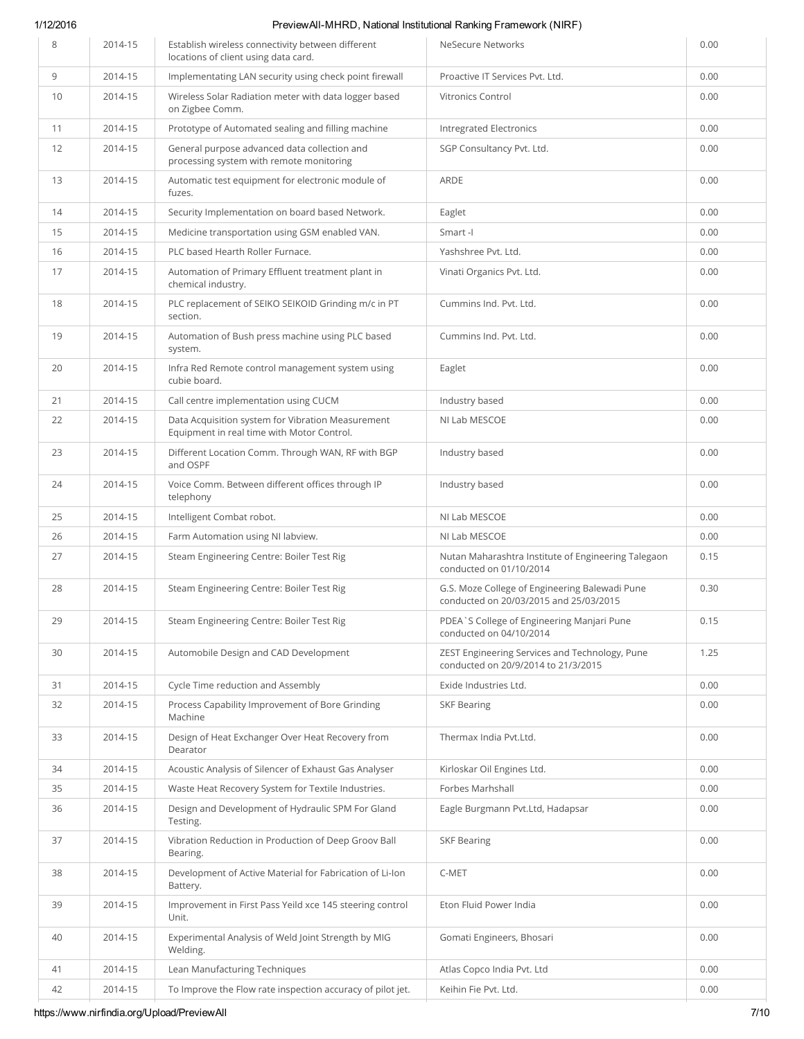| 8  | 2014-15 | Establish wireless connectivity between different<br>locations of client using data card.       | <b>NeSecure Networks</b>                                                                 | 0.00 |
|----|---------|-------------------------------------------------------------------------------------------------|------------------------------------------------------------------------------------------|------|
| 9  | 2014-15 | Implementating LAN security using check point firewall                                          | Proactive IT Services Pvt. Ltd.                                                          | 0.00 |
| 10 | 2014-15 | Wireless Solar Radiation meter with data logger based<br>on Zigbee Comm.                        | <b>Vitronics Control</b>                                                                 | 0.00 |
| 11 | 2014-15 | Prototype of Automated sealing and filling machine                                              | <b>Intregrated Electronics</b>                                                           | 0.00 |
| 12 | 2014-15 | General purpose advanced data collection and<br>processing system with remote monitoring        | SGP Consultancy Pvt. Ltd.                                                                | 0.00 |
| 13 | 2014-15 | Automatic test equipment for electronic module of<br>fuzes.                                     | <b>ARDE</b>                                                                              | 0.00 |
| 14 | 2014-15 | Security Implementation on board based Network.                                                 | Eaglet                                                                                   | 0.00 |
| 15 | 2014-15 | Medicine transportation using GSM enabled VAN.                                                  | Smart-I                                                                                  | 0.00 |
| 16 | 2014-15 | PLC based Hearth Roller Furnace.                                                                | Yashshree Pvt. Ltd.                                                                      | 0.00 |
| 17 | 2014-15 | Automation of Primary Effluent treatment plant in<br>chemical industry.                         | Vinati Organics Pvt. Ltd.                                                                | 0.00 |
| 18 | 2014-15 | PLC replacement of SEIKO SEIKOID Grinding m/c in PT<br>section.                                 | Cummins Ind. Pvt. Ltd.                                                                   | 0.00 |
| 19 | 2014-15 | Automation of Bush press machine using PLC based<br>system.                                     | Cummins Ind. Pvt. Ltd.                                                                   | 0.00 |
| 20 | 2014-15 | Infra Red Remote control management system using<br>cubie board.                                | Eaglet                                                                                   | 0.00 |
| 21 | 2014-15 | Call centre implementation using CUCM                                                           | Industry based                                                                           | 0.00 |
| 22 | 2014-15 | Data Acquisition system for Vibration Measurement<br>Equipment in real time with Motor Control. | NI Lab MESCOE                                                                            | 0.00 |
| 23 | 2014-15 | Different Location Comm. Through WAN, RF with BGP<br>and OSPF                                   | Industry based                                                                           | 0.00 |
| 24 | 2014-15 | Voice Comm. Between different offices through IP<br>telephony                                   | Industry based                                                                           | 0.00 |
| 25 | 2014-15 | Intelligent Combat robot.                                                                       | NI Lab MESCOE                                                                            | 0.00 |
| 26 | 2014-15 | Farm Automation using NI labview.                                                               | NI Lab MESCOE                                                                            | 0.00 |
| 27 | 2014-15 | Steam Engineering Centre: Boiler Test Rig                                                       | Nutan Maharashtra Institute of Engineering Talegaon<br>conducted on 01/10/2014           | 0.15 |
| 28 | 2014-15 | Steam Engineering Centre: Boiler Test Rig                                                       | G.S. Moze College of Engineering Balewadi Pune<br>conducted on 20/03/2015 and 25/03/2015 | 0.30 |
| 29 | 2014-15 | Steam Engineering Centre: Boiler Test Rig                                                       | PDEA`S College of Engineering Manjari Pune<br>conducted on 04/10/2014                    | 0.15 |
| 30 | 2014-15 | Automobile Design and CAD Development                                                           | ZEST Engineering Services and Technology, Pune<br>conducted on 20/9/2014 to 21/3/2015    | 1.25 |
| 31 | 2014-15 | Cycle Time reduction and Assembly                                                               | Exide Industries Ltd.                                                                    | 0.00 |
| 32 | 2014-15 | Process Capability Improvement of Bore Grinding<br>Machine                                      | <b>SKF Bearing</b>                                                                       | 0.00 |
| 33 | 2014-15 | Design of Heat Exchanger Over Heat Recovery from<br>Dearator                                    | Thermax India Pyt.Ltd.                                                                   | 0.00 |
| 34 | 2014-15 | Acoustic Analysis of Silencer of Exhaust Gas Analyser                                           | Kirloskar Oil Engines Ltd.                                                               | 0.00 |
| 35 | 2014-15 | Waste Heat Recovery System for Textile Industries.                                              | Forbes Marhshall                                                                         | 0.00 |
| 36 | 2014-15 | Design and Development of Hydraulic SPM For Gland<br>Testing.                                   | Eagle Burgmann Pvt.Ltd, Hadapsar                                                         | 0.00 |
| 37 | 2014-15 | Vibration Reduction in Production of Deep Groov Ball<br>Bearing.                                | <b>SKF Bearing</b>                                                                       | 0.00 |
| 38 | 2014-15 | Development of Active Material for Fabrication of Li-Ion<br>Battery.                            | C-MET                                                                                    | 0.00 |
| 39 | 2014-15 | Improvement in First Pass Yeild xce 145 steering control<br>Unit.                               | Eton Fluid Power India                                                                   | 0.00 |
| 40 | 2014-15 | Experimental Analysis of Weld Joint Strength by MIG<br>Welding.                                 | Gomati Engineers, Bhosari                                                                | 0.00 |
| 41 | 2014-15 | Lean Manufacturing Techniques                                                                   | Atlas Copco India Pvt. Ltd                                                               | 0.00 |
| 42 | 2014-15 | To Improve the Flow rate inspection accuracy of pilot jet.                                      | Keihin Fie Pvt. Ltd.                                                                     | 0.00 |

https://www.nirfindia.org/Upload/PreviewAll 7/10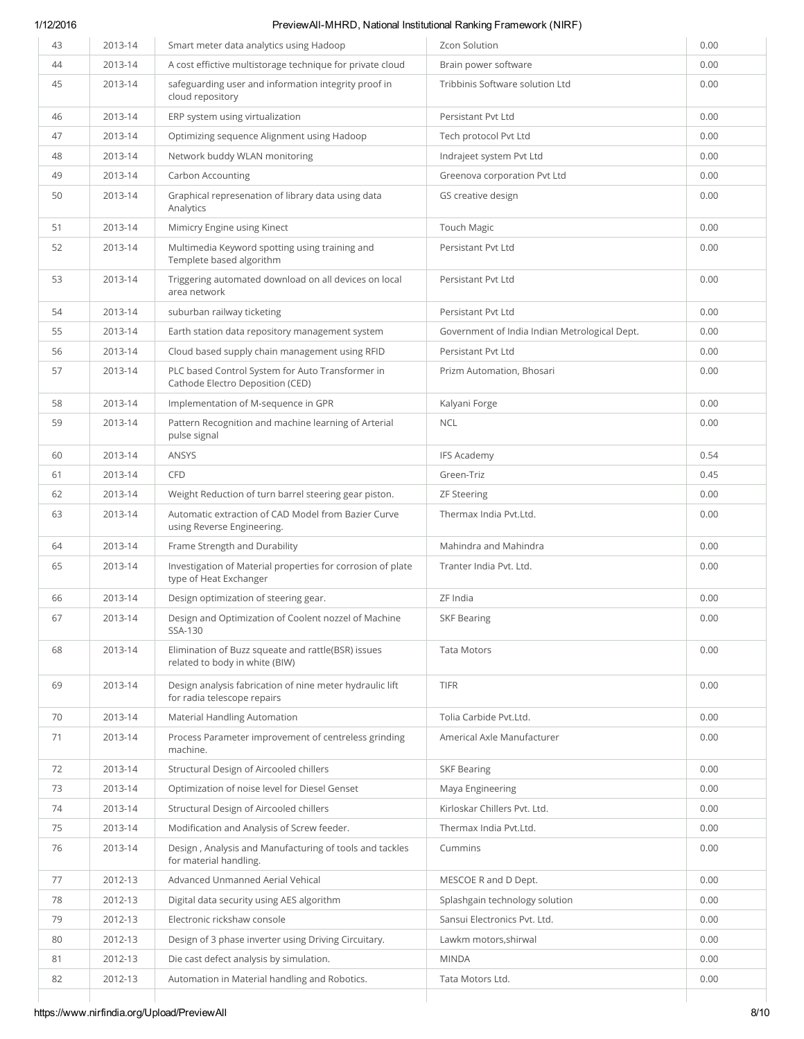| 43 | 2013-14 | Smart meter data analytics using Hadoop                                                 | Zcon Solution                                 | 0.00 |
|----|---------|-----------------------------------------------------------------------------------------|-----------------------------------------------|------|
| 44 | 2013-14 | A cost effictive multistorage technique for private cloud                               | Brain power software                          | 0.00 |
| 45 | 2013-14 | safeguarding user and information integrity proof in<br>cloud repository                | Tribbinis Software solution Ltd               | 0.00 |
| 46 | 2013-14 | ERP system using virtualization                                                         | Persistant Pvt Ltd                            | 0.00 |
| 47 | 2013-14 | Optimizing sequence Alignment using Hadoop                                              | Tech protocol Pvt Ltd                         | 0.00 |
| 48 | 2013-14 | Network buddy WLAN monitoring                                                           | Indrajeet system Pvt Ltd                      | 0.00 |
| 49 | 2013-14 | <b>Carbon Accounting</b>                                                                | Greenova corporation Pvt Ltd                  | 0.00 |
| 50 | 2013-14 | Graphical represenation of library data using data<br>Analytics                         | GS creative design                            | 0.00 |
| 51 | 2013-14 | Mimicry Engine using Kinect                                                             | <b>Touch Magic</b>                            | 0.00 |
| 52 | 2013-14 | Multimedia Keyword spotting using training and<br>Templete based algorithm              | Persistant Pvt Ltd                            | 0.00 |
| 53 | 2013-14 | Triggering automated download on all devices on local<br>area network                   | Persistant Pvt Ltd                            | 0.00 |
| 54 | 2013-14 | suburban railway ticketing                                                              | Persistant Pvt Ltd                            | 0.00 |
| 55 | 2013-14 | Earth station data repository management system                                         | Government of India Indian Metrological Dept. | 0.00 |
| 56 | 2013-14 | Cloud based supply chain management using RFID                                          | Persistant Pvt Ltd                            | 0.00 |
| 57 | 2013-14 | PLC based Control System for Auto Transformer in<br>Cathode Electro Deposition (CED)    | Prizm Automation, Bhosari                     | 0.00 |
| 58 | 2013-14 | Implementation of M-sequence in GPR                                                     | Kalyani Forge                                 | 0.00 |
| 59 | 2013-14 | Pattern Recognition and machine learning of Arterial<br>pulse signal                    | <b>NCL</b>                                    | 0.00 |
| 60 | 2013-14 | ANSYS                                                                                   | <b>IFS Academy</b>                            | 0.54 |
| 61 | 2013-14 | <b>CFD</b>                                                                              | Green-Triz                                    | 0.45 |
| 62 | 2013-14 | Weight Reduction of turn barrel steering gear piston.                                   | <b>ZF Steering</b>                            | 0.00 |
| 63 | 2013-14 | Automatic extraction of CAD Model from Bazier Curve<br>using Reverse Engineering.       | Thermax India Pvt.Ltd.                        | 0.00 |
| 64 | 2013-14 | Frame Strength and Durability                                                           | Mahindra and Mahindra                         | 0.00 |
| 65 | 2013-14 | Investigation of Material properties for corrosion of plate<br>type of Heat Exchanger   | Tranter India Pyt. Ltd.                       | 0.00 |
| 66 | 2013-14 | Design optimization of steering gear.                                                   | ZF India                                      | 0.00 |
| 67 | 2013-14 | Design and Optimization of Coolent nozzel of Machine<br>SSA-130                         | <b>SKF Bearing</b>                            | 0.00 |
| 68 | 2013-14 | Elimination of Buzz squeate and rattle(BSR) issues<br>related to body in white (BIW)    | <b>Tata Motors</b>                            | 0.00 |
| 69 | 2013-14 | Design analysis fabrication of nine meter hydraulic lift<br>for radia telescope repairs | <b>TIFR</b>                                   | 0.00 |
| 70 | 2013-14 | <b>Material Handling Automation</b>                                                     | Tolia Carbide Pvt.Ltd.                        | 0.00 |
| 71 | 2013-14 | Process Parameter improvement of centreless grinding<br>machine.                        | Americal Axle Manufacturer                    | 0.00 |
| 72 | 2013-14 | Structural Design of Aircooled chillers                                                 | <b>SKF Bearing</b>                            | 0.00 |
| 73 | 2013-14 | Optimization of noise level for Diesel Genset                                           | Maya Engineering                              | 0.00 |
| 74 | 2013-14 | Structural Design of Aircooled chillers                                                 | Kirloskar Chillers Pvt. Ltd.                  | 0.00 |
| 75 | 2013-14 | Modification and Analysis of Screw feeder.                                              | Thermax India Pvt.Ltd.                        | 0.00 |
| 76 | 2013-14 | Design, Analysis and Manufacturing of tools and tackles<br>for material handling.       | Cummins                                       | 0.00 |
| 77 | 2012-13 | Advanced Unmanned Aerial Vehical                                                        | MESCOE R and D Dept.                          | 0.00 |
| 78 | 2012-13 | Digital data security using AES algorithm                                               | Splashgain technology solution                | 0.00 |
| 79 | 2012-13 | Electronic rickshaw console                                                             | Sansui Electronics Pvt. Ltd.                  | 0.00 |
| 80 | 2012-13 | Design of 3 phase inverter using Driving Circuitary.                                    | Lawkm motors, shirwal                         | 0.00 |
| 81 | 2012-13 | Die cast defect analysis by simulation.                                                 | <b>MINDA</b>                                  | 0.00 |
| 82 | 2012-13 | Automation in Material handling and Robotics.                                           | Tata Motors Ltd.                              | 0.00 |
|    |         |                                                                                         |                                               |      |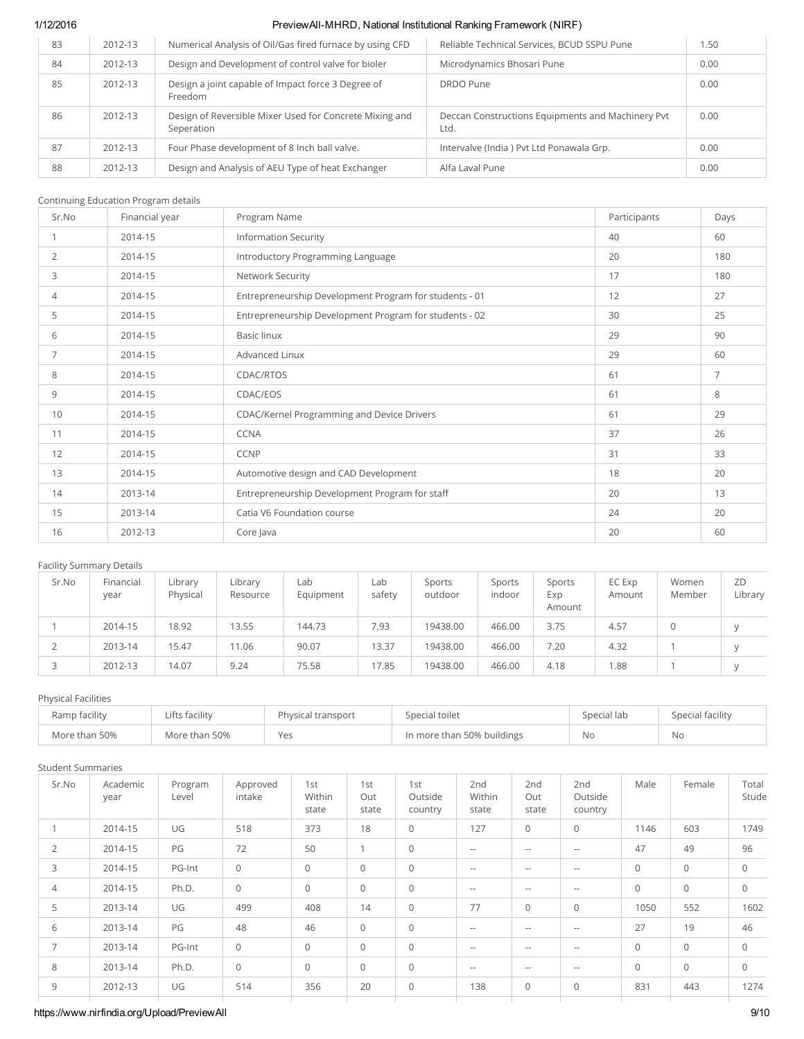| 83 | 2012-13 | Numerical Analysis of Oil/Gas fired furnace by using CFD              | Reliable Technical Services, BCUD SSPU Pune               | .50  |
|----|---------|-----------------------------------------------------------------------|-----------------------------------------------------------|------|
| 84 | 2012-13 | Design and Development of control valve for bioler                    | Microdynamics Bhosari Pune                                | 0.00 |
| 85 | 2012-13 | Design a joint capable of Impact force 3 Degree of<br>Freedom         | DRDO Pune                                                 | 0.00 |
| 86 | 2012-13 | Design of Reversible Mixer Used for Concrete Mixing and<br>Seperation | Deccan Constructions Equipments and Machinery Pvt<br>Ltd. | 0.00 |
| 87 | 2012-13 | Four Phase development of 8 Inch ball valve.                          | Intervalve (India) Pvt Ltd Ponawala Grp.                  | 0.00 |
| 88 | 2012-13 | Design and Analysis of AEU Type of heat Exchanger                     | Alfa Laval Pune                                           | 0.00 |

### Continuing Education Program details

| Sr.No | Financial year | Program Name                                           | Participants | Days |
|-------|----------------|--------------------------------------------------------|--------------|------|
|       | 2014-15        | <b>Information Security</b>                            | 40           | 60   |
| 2     | 2014-15        | Introductory Programming Language                      | 20           | 180  |
| 3     | 2014-15        | Network Security                                       | 17           | 180  |
| 4     | 2014-15        | Entrepreneurship Development Program for students - 01 | 12           | 27   |
| 5     | 2014-15        | Entrepreneurship Development Program for students - 02 | 30           | 25   |
| 6     | 2014-15        | <b>Basic linux</b>                                     | 29           | 90   |
| 7     | 2014-15        | <b>Advanced Linux</b>                                  | 29           | 60   |
| 8     | 2014-15        | CDAC/RTOS                                              | 61           | 7    |
| 9     | 2014-15        | CDAC/EOS                                               | 61           | 8    |
| 10    | 2014-15        | <b>CDAC/Kernel Programming and Device Drivers</b>      | 61           | 29   |
| 11    | 2014-15        | <b>CCNA</b>                                            | 37           | 26   |
| 12    | 2014-15        | CCNP                                                   | 31           | 33   |
| 13    | 2014-15        | Automotive design and CAD Development                  | 18           | 20   |
| 14    | 2013-14        | Entrepreneurship Development Program for staff         | 20           | 13   |
| 15    | 2013-14        | Catia V6 Foundation course                             | 24           | 20   |
| 16    | 2012-13        | Core Java                                              | 20           | 60   |

### Facility Summary Details

| Sr.No | Financial<br>year | Library<br>Physical | Library<br>Resource | Lab<br>Equipment | Lab<br>safety | Sports<br>outdoor | Sports<br>indoor | Sports<br>Exp<br>Amount | EC Exp<br>Amount | Women<br>Member | ZD<br>Library |
|-------|-------------------|---------------------|---------------------|------------------|---------------|-------------------|------------------|-------------------------|------------------|-----------------|---------------|
|       | 2014-15           | 18.92               | 13.55               | 144.73           | 7.93          | 19438.00          | 466.00           | 3.75                    | 4.57             |                 |               |
|       | 2013-14           | 15.47               | 11.06               | 90.07            | 13.37         | 19438.00          | 466.00           | 7.20                    | 4.32             |                 |               |
|       | 2012-13           | 14.07               | 9.24                | 75.58            | 17.85         | 19438.00          | 466.00           | 4.18                    | 1.88             |                 |               |

### Physical Facilities

| Ramp facility | Lifts facility | Physical transport | Special toilet             | Special lab | Special facility |
|---------------|----------------|--------------------|----------------------------|-------------|------------------|
| More than 50% | More than 50%  | Yes                | In more than 50% buildings | .No         | No               |

### Student Summaries

| Sr.No          | Academic<br>year | Program<br>Level | Approved<br>intake | 1st<br>Within<br>state | 1st<br>Out<br>state | 1st<br>Outside<br>country | 2nd<br>Within<br>state | 2nd<br>Out<br>state      | 2nd<br>Outside<br>country | Male                | Female       | Total<br>Stude |
|----------------|------------------|------------------|--------------------|------------------------|---------------------|---------------------------|------------------------|--------------------------|---------------------------|---------------------|--------------|----------------|
|                | 2014-15          | UG               | 518                | 373                    | 18                  | $\circ$                   | 127                    | $\mathsf{O}$             | $\mathbf 0$               | 1146                | 603          | 1749           |
| $\overline{2}$ | 2014-15          | PG               | 72                 | 50                     | $\overline{ }$      | $\mathbf 0$               | $\sim$ $-$             | $\sim$ $-$               | $\overline{\phantom{m}}$  | 47                  | 49           | 96             |
| 3              | 2014-15          | PG-Int           | $\mathsf O$        | $\mathbf 0$            | $\mathbf{0}$        | $\mathbf 0$               | $\sim$ $-$             | $\hspace{0.05cm} \ldots$ | $\overline{\phantom{m}}$  | $\mathsf{O}\xspace$ | $\mathbf{0}$ | $\mathbf{0}$   |
| 4              | 2014-15          | Ph.D.            | $\mathsf O$        | 0                      | $\mathsf O$         | $\circ$                   | $\sim$ $-$             | $\sim$ $-$               | $\overline{\phantom{m}}$  | $\mathsf O$         | $\mathbf 0$  | $\circ$        |
| 5              | 2013-14          | UG               | 499                | 408                    | 14                  | $\mathbf 0$               | 77                     | $\circ$                  | $\mathbf{0}$              | 1050                | 552          | 1602           |
| 6              | 2013-14          | PG               | 48                 | 46                     | $\circ$             | $\circ$                   | $\sim$ $-$             | $\hspace{0.05cm} \ldots$ | $\sim$ $\sim$             | 27                  | 19           | 46             |
| $\overline{7}$ | 2013-14          | PG-Int           | $\mathsf O$        | $\circ$                | $\circ$             | $\mathbf 0$               | $\sim$ $-$             | $\sim$ $-$               | $\overline{\phantom{m}}$  | $\mathbf 0$         | $\mathbf 0$  | $\Omega$       |
| 8              | 2013-14          | Ph.D.            | $\mathsf O$        | $\circ$                | $\mathbf 0$         | $\mathbf 0$               | $\sim$ $-$             | $\hspace{0.05cm} \ldots$ | $\sim$ $-$                | $\mathsf O$         | $\mathbf 0$  | $\mathbf{0}$   |
| 9              | 2012-13          | UG               | 514                | 356                    | 20                  | $\mathbf 0$               | 138                    | $\mathsf O$              | $\mathbf 0$               | 831                 | 443          | 1274           |

## https://www.nirfindia.org/Upload/PreviewAll 9/10